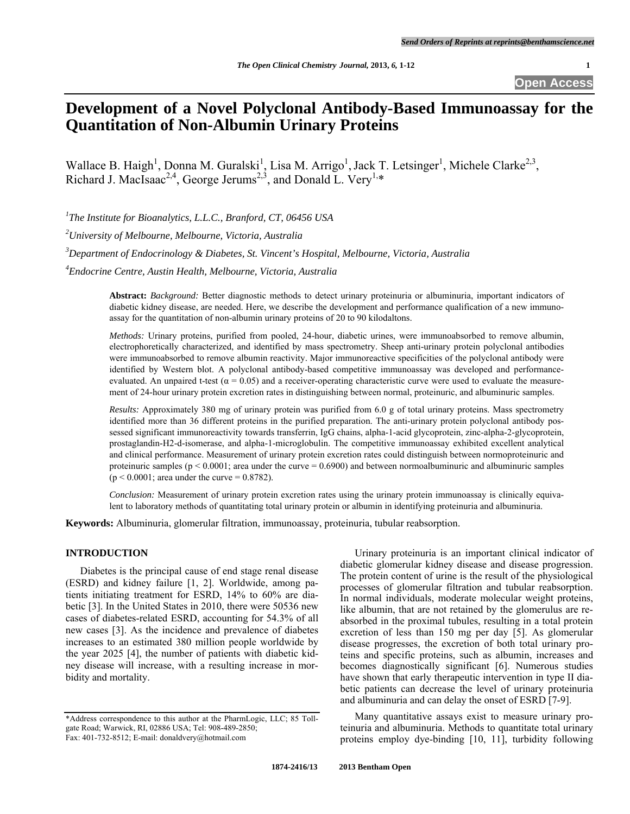# **Development of a Novel Polyclonal Antibody-Based Immunoassay for the Quantitation of Non-Albumin Urinary Proteins**

Wallace B. Haigh<sup>1</sup>, Donna M. Guralski<sup>1</sup>, Lisa M. Arrigo<sup>1</sup>, Jack T. Letsinger<sup>1</sup>, Michele Clarke<sup>2,3</sup>, Richard J. MacIsaac<sup>2,4</sup>, George Jerums<sup>2,3</sup>, and Donald L. Very<sup>1,\*</sup>

<sup>1</sup>The Institute for Bioanalytics, L.L.C., Branford, CT, 06456 USA

*2 University of Melbourne, Melbourne, Victoria, Australia* 

*3 Department of Endocrinology & Diabetes, St. Vincent's Hospital, Melbourne, Victoria, Australia*

*4 Endocrine Centre, Austin Health, Melbourne, Victoria, Australia* 

**Abstract:** *Background:* Better diagnostic methods to detect urinary proteinuria or albuminuria, important indicators of diabetic kidney disease, are needed. Here, we describe the development and performance qualification of a new immunoassay for the quantitation of non-albumin urinary proteins of 20 to 90 kilodaltons.

*Methods:* Urinary proteins, purified from pooled, 24-hour, diabetic urines, were immunoabsorbed to remove albumin, electrophoretically characterized, and identified by mass spectrometry. Sheep anti-urinary protein polyclonal antibodies were immunoabsorbed to remove albumin reactivity. Major immunoreactive specificities of the polyclonal antibody were identified by Western blot. A polyclonal antibody-based competitive immunoassay was developed and performanceevaluated. An unpaired t-test  $(\alpha = 0.05)$  and a receiver-operating characteristic curve were used to evaluate the measurement of 24-hour urinary protein excretion rates in distinguishing between normal, proteinuric, and albuminuric samples.

*Results:* Approximately 380 mg of urinary protein was purified from 6.0 g of total urinary proteins. Mass spectrometry identified more than 36 different proteins in the purified preparation. The anti-urinary protein polyclonal antibody possessed significant immunoreactivity towards transferrin, IgG chains, alpha-1-acid glycoprotein, zinc-alpha-2-glycoprotein, prostaglandin-H2-d-isomerase, and alpha-1-microglobulin. The competitive immunoassay exhibited excellent analytical and clinical performance. Measurement of urinary protein excretion rates could distinguish between normoproteinuric and proteinuric samples ( $p < 0.0001$ ; area under the curve = 0.6900) and between normoalbuminuric and albuminuric samples  $(p < 0.0001$ ; area under the curve = 0.8782).

*Conclusion:* Measurement of urinary protein excretion rates using the urinary protein immunoassay is clinically equivalent to laboratory methods of quantitating total urinary protein or albumin in identifying proteinuria and albuminuria.

**Keywords:** Albuminuria, glomerular filtration, immunoassay, proteinuria, tubular reabsorption.

#### **INTRODUCTION**

 Diabetes is the principal cause of end stage renal disease (ESRD) and kidney failure [1, 2]. Worldwide, among patients initiating treatment for ESRD, 14% to 60% are diabetic [3]. In the United States in 2010, there were 50536 new cases of diabetes-related ESRD, accounting for 54.3% of all new cases [3]. As the incidence and prevalence of diabetes increases to an estimated 380 million people worldwide by the year 2025 [4], the number of patients with diabetic kidney disease will increase, with a resulting increase in morbidity and mortality.

Urinary proteinuria is an important clinical indicator of diabetic glomerular kidney disease and disease progression. The protein content of urine is the result of the physiological processes of glomerular filtration and tubular reabsorption. In normal individuals, moderate molecular weight proteins, like albumin, that are not retained by the glomerulus are reabsorbed in the proximal tubules, resulting in a total protein excretion of less than 150 mg per day [5]. As glomerular disease progresses, the excretion of both total urinary proteins and specific proteins, such as albumin, increases and becomes diagnostically significant [6]. Numerous studies have shown that early therapeutic intervention in type II diabetic patients can decrease the level of urinary proteinuria and albuminuria and can delay the onset of ESRD [7-9].

Many quantitative assays exist to measure urinary proteinuria and albuminuria. Methods to quantitate total urinary proteins employ dye-binding [10, 11], turbidity following

<sup>\*</sup>Address correspondence to this author at the PharmLogic, LLC; 85 Tollgate Road; Warwick, RI, 02886 USA; Tel: 908-489-2850; Fax: 401-732-8512; E-mail: donaldvery@hotmail.com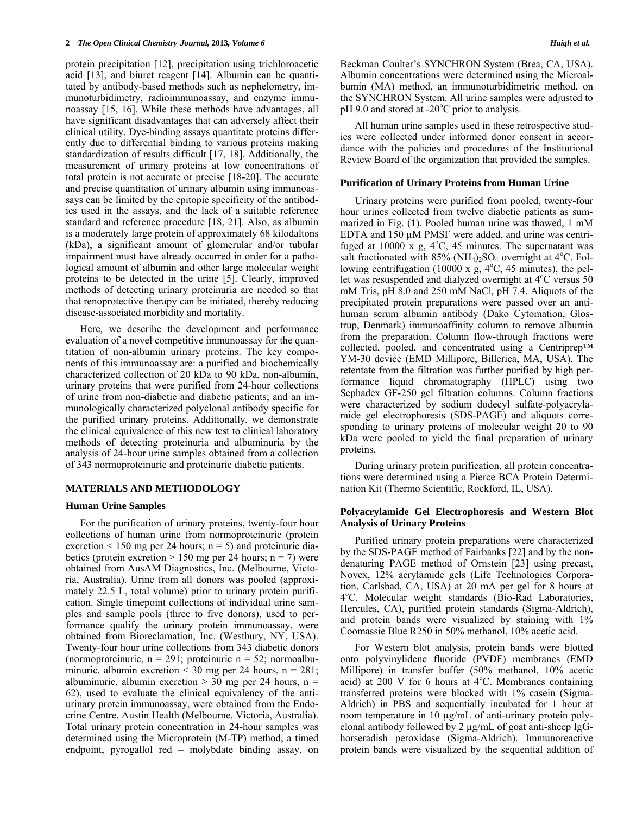protein precipitation [12], precipitation using trichloroacetic acid [13], and biuret reagent [14]. Albumin can be quantitated by antibody-based methods such as nephelometry, immunoturbidimetry, radioimmunoassay, and enzyme immunoassay [15, 16]. While these methods have advantages, all have significant disadvantages that can adversely affect their clinical utility. Dye-binding assays quantitate proteins differently due to differential binding to various proteins making standardization of results difficult [17, 18]. Additionally, the measurement of urinary proteins at low concentrations of total protein is not accurate or precise [18-20]. The accurate and precise quantitation of urinary albumin using immunoassays can be limited by the epitopic specificity of the antibodies used in the assays, and the lack of a suitable reference standard and reference procedure [18, 21]. Also, as albumin is a moderately large protein of approximately 68 kilodaltons (kDa), a significant amount of glomerular and/or tubular impairment must have already occurred in order for a pathological amount of albumin and other large molecular weight proteins to be detected in the urine [5]. Clearly, improved methods of detecting urinary proteinuria are needed so that that renoprotective therapy can be initiated, thereby reducing disease-associated morbidity and mortality.

 Here, we describe the development and performance evaluation of a novel competitive immunoassay for the quantitation of non-albumin urinary proteins. The key components of this immunoassay are: a purified and biochemically characterized collection of 20 kDa to 90 kDa, non-albumin, urinary proteins that were purified from 24-hour collections of urine from non-diabetic and diabetic patients; and an immunologically characterized polyclonal antibody specific for the purified urinary proteins. Additionally, we demonstrate the clinical equivalence of this new test to clinical laboratory methods of detecting proteinuria and albuminuria by the analysis of 24-hour urine samples obtained from a collection of 343 normoproteinuric and proteinuric diabetic patients.

## **MATERIALS AND METHODOLOGY**

#### **Human Urine Samples**

 For the purification of urinary proteins, twenty-four hour collections of human urine from normoproteinuric (protein excretion  $\leq 150$  mg per 24 hours; n = 5) and proteinuric diabetics (protein excretion  $\geq$  150 mg per 24 hours; n = 7) were obtained from AusAM Diagnostics, Inc. (Melbourne, Victoria, Australia). Urine from all donors was pooled (approximately 22.5 L, total volume) prior to urinary protein purification. Single timepoint collections of individual urine samples and sample pools (three to five donors), used to performance qualify the urinary protein immunoassay, were obtained from Bioreclamation, Inc. (Westbury, NY, USA). Twenty-four hour urine collections from 343 diabetic donors (normoproteinuric,  $n = 291$ ; proteinuric  $n = 52$ ; normoalbuminuric, albumin excretion  $\leq$  30 mg per 24 hours, n = 281; albuminuric, albumin excretion  $\geq$  30 mg per 24 hours, n = 62), used to evaluate the clinical equivalency of the antiurinary protein immunoassay, were obtained from the Endocrine Centre, Austin Health (Melbourne, Victoria, Australia). Total urinary protein concentration in 24-hour samples was determined using the Microprotein (M-TP) method, a timed endpoint, pyrogallol red – molybdate binding assay, on Beckman Coulter's SYNCHRON System (Brea, CA, USA). Albumin concentrations were determined using the Microalbumin (MA) method, an immunoturbidimetric method, on the SYNCHRON System. All urine samples were adjusted to pH 9.0 and stored at -20°C prior to analysis.

 All human urine samples used in these retrospective studies were collected under informed donor consent in accordance with the policies and procedures of the Institutional Review Board of the organization that provided the samples.

#### **Purification of Urinary Proteins from Human Urine**

 Urinary proteins were purified from pooled, twenty-four hour urines collected from twelve diabetic patients as summarized in Fig. (**1**). Pooled human urine was thawed, 1 mM EDTA and 150 µM PMSF were added, and urine was centrifuged at  $10000 \times g$ ,  $4^{\circ}$ C, 45 minutes. The supernatant was salt fractionated with  $85\%$  (NH<sub>4</sub>)<sub>2</sub>SO<sub>4</sub> overnight at 4<sup>o</sup>C. Following centrifugation (10000 x  $\overline{g}$ , 4°C, 45 minutes), the pellet was resuspended and dialyzed overnight at 4°C versus 50 mM Tris, pH 8.0 and 250 mM NaCl, pH 7.4. Aliquots of the precipitated protein preparations were passed over an antihuman serum albumin antibody (Dako Cytomation, Glostrup, Denmark) immunoaffinity column to remove albumin from the preparation. Column flow-through fractions were collected, pooled, and concentrated using a Centriprep™ YM-30 device (EMD Millipore, Billerica, MA, USA). The retentate from the filtration was further purified by high performance liquid chromatography (HPLC) using two Sephadex GF-250 gel filtration columns. Column fractions were characterized by sodium dodecyl sulfate-polyacrylamide gel electrophoresis (SDS-PAGE) and aliquots corresponding to urinary proteins of molecular weight 20 to 90 kDa were pooled to yield the final preparation of urinary proteins.

 During urinary protein purification, all protein concentrations were determined using a Pierce BCA Protein Determination Kit (Thermo Scientific, Rockford, IL, USA).

#### **Polyacrylamide Gel Electrophoresis and Western Blot Analysis of Urinary Proteins**

 Purified urinary protein preparations were characterized by the SDS-PAGE method of Fairbanks [22] and by the nondenaturing PAGE method of Ornstein [23] using precast, Novex, 12% acrylamide gels (Life Technologies Corporation, Carlsbad, CA, USA) at 20 mA per gel for 8 hours at 4°C. Molecular weight standards (Bio-Rad Laboratories, Hercules, CA), purified protein standards (Sigma-Aldrich), and protein bands were visualized by staining with 1% Coomassie Blue R250 in 50% methanol, 10% acetic acid.

 For Western blot analysis, protein bands were blotted onto polyvinylidene fluoride (PVDF) membranes (EMD Millipore) in transfer buffer (50% methanol, 10% acetic acid) at  $200 \text{ V}$  for 6 hours at  $4^{\circ}$ C. Membranes containing transferred proteins were blocked with 1% casein (Sigma-Aldrich) in PBS and sequentially incubated for 1 hour at room temperature in 10 µg/mL of anti-urinary protein polyclonal antibody followed by 2 µg/mL of goat anti-sheep IgGhorseradish peroxidase (Sigma-Aldrich). Immunoreactive protein bands were visualized by the sequential addition of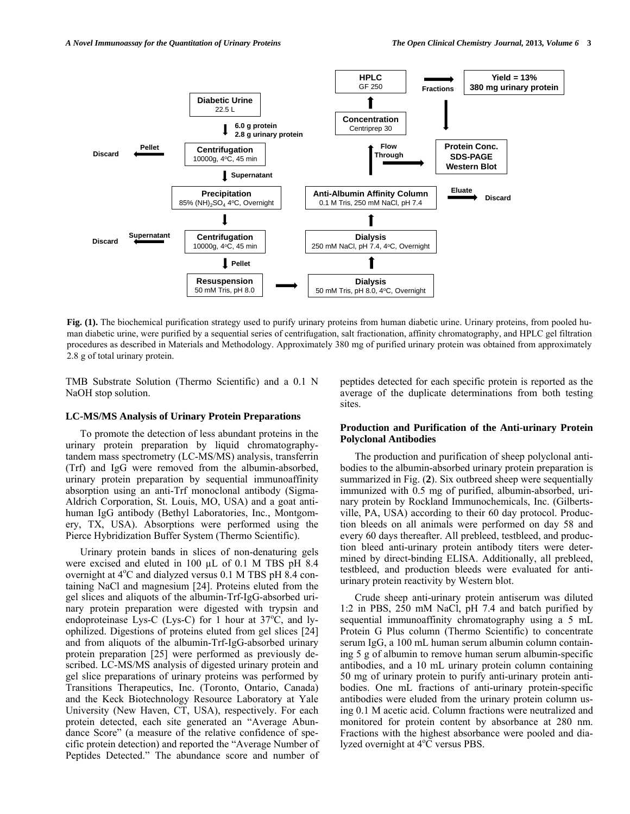

**Fig. (1).** The biochemical purification strategy used to purify urinary proteins from human diabetic urine. Urinary proteins, from pooled human diabetic urine, were purified by a sequential series of centrifugation, salt fractionation, affinity chromatography, and HPLC gel filtration procedures as described in Materials and Methodology. Approximately 380 mg of purified urinary protein was obtained from approximately 2.8 g of total urinary protein.

TMB Substrate Solution (Thermo Scientific) and a 0.1 N NaOH stop solution.

#### **LC-MS/MS Analysis of Urinary Protein Preparations**

 To promote the detection of less abundant proteins in the urinary protein preparation by liquid chromatographytandem mass spectrometry (LC-MS/MS) analysis, transferrin (Trf) and IgG were removed from the albumin-absorbed, urinary protein preparation by sequential immunoaffinity absorption using an anti-Trf monoclonal antibody (Sigma-Aldrich Corporation, St. Louis, MO, USA) and a goat antihuman IgG antibody (Bethyl Laboratories, Inc., Montgomery, TX, USA). Absorptions were performed using the Pierce Hybridization Buffer System (Thermo Scientific).

 Urinary protein bands in slices of non-denaturing gels were excised and eluted in 100 µL of 0.1 M TBS pH 8.4 overnight at  $4^{\circ}$ C and dialyzed versus 0.1 M TBS pH 8.4 containing NaCl and magnesium [24]. Proteins eluted from the gel slices and aliquots of the albumin-Trf-IgG-absorbed urinary protein preparation were digested with trypsin and endoproteinase Lys-C (Lys-C) for 1 hour at  $37^{\circ}$ C, and lyophilized. Digestions of proteins eluted from gel slices [24] and from aliquots of the albumin-Trf-IgG-absorbed urinary protein preparation [25] were performed as previously described. LC-MS/MS analysis of digested urinary protein and gel slice preparations of urinary proteins was performed by Transitions Therapeutics, Inc. (Toronto, Ontario, Canada) and the Keck Biotechnology Resource Laboratory at Yale University (New Haven, CT, USA), respectively. For each protein detected, each site generated an "Average Abundance Score" (a measure of the relative confidence of specific protein detection) and reported the "Average Number of Peptides Detected." The abundance score and number of peptides detected for each specific protein is reported as the average of the duplicate determinations from both testing sites.

## **Production and Purification of the Anti-urinary Protein Polyclonal Antibodies**

 The production and purification of sheep polyclonal antibodies to the albumin-absorbed urinary protein preparation is summarized in Fig. (**2**). Six outbreed sheep were sequentially immunized with 0.5 mg of purified, albumin-absorbed, urinary protein by Rockland Immunochemicals, Inc. (Gilbertsville, PA, USA) according to their 60 day protocol. Production bleeds on all animals were performed on day 58 and every 60 days thereafter. All prebleed, testbleed, and production bleed anti-urinary protein antibody titers were determined by direct-binding ELISA. Additionally, all prebleed, testbleed, and production bleeds were evaluated for antiurinary protein reactivity by Western blot.

 Crude sheep anti-urinary protein antiserum was diluted 1:2 in PBS, 250 mM NaCl, pH 7.4 and batch purified by sequential immunoaffinity chromatography using a 5 mL Protein G Plus column (Thermo Scientific) to concentrate serum IgG, a 100 mL human serum albumin column containing 5 g of albumin to remove human serum albumin-specific antibodies, and a 10 mL urinary protein column containing 50 mg of urinary protein to purify anti-urinary protein antibodies. One mL fractions of anti-urinary protein-specific antibodies were eluded from the urinary protein column using 0.1 M acetic acid. Column fractions were neutralized and monitored for protein content by absorbance at 280 nm. Fractions with the highest absorbance were pooled and dialyzed overnight at  $4^{\circ}$ C versus PBS.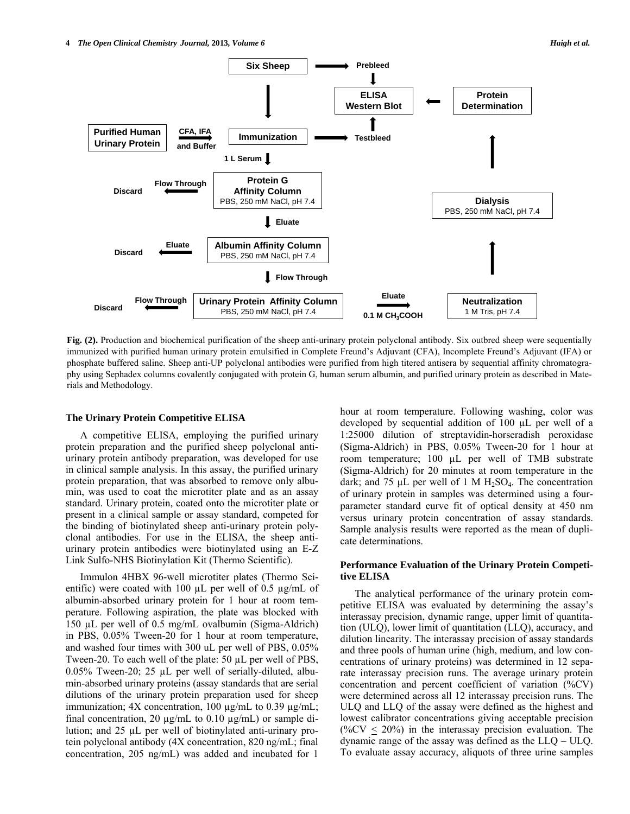![](_page_3_Figure_2.jpeg)

**Fig. (2).** Production and biochemical purification of the sheep anti-urinary protein polyclonal antibody. Six outbred sheep were sequentially immunized with purified human urinary protein emulsified in Complete Freund's Adjuvant (CFA), Incomplete Freund's Adjuvant (IFA) or phosphate buffered saline. Sheep anti-UP polyclonal antibodies were purified from high titered antisera by sequential affinity chromatography using Sephadex columns covalently conjugated with protein G, human serum albumin, and purified urinary protein as described in Materials and Methodology.

#### **The Urinary Protein Competitive ELISA**

 A competitive ELISA, employing the purified urinary protein preparation and the purified sheep polyclonal antiurinary protein antibody preparation, was developed for use in clinical sample analysis. In this assay, the purified urinary protein preparation, that was absorbed to remove only albumin, was used to coat the microtiter plate and as an assay standard. Urinary protein, coated onto the microtiter plate or present in a clinical sample or assay standard, competed for the binding of biotinylated sheep anti-urinary protein polyclonal antibodies. For use in the ELISA, the sheep antiurinary protein antibodies were biotinylated using an E-Z Link Sulfo-NHS Biotinylation Kit (Thermo Scientific).

 Immulon 4HBX 96-well microtiter plates (Thermo Scientific) were coated with 100  $\mu$ L per well of 0.5  $\mu$ g/mL of albumin-absorbed urinary protein for 1 hour at room temperature. Following aspiration, the plate was blocked with 150 µL per well of 0.5 mg/mL ovalbumin (Sigma-Aldrich) in PBS, 0.05% Tween-20 for 1 hour at room temperature, and washed four times with 300 uL per well of PBS, 0.05% Tween-20. To each well of the plate: 50 µL per well of PBS, 0.05% Tween-20; 25 µL per well of serially-diluted, albumin-absorbed urinary proteins (assay standards that are serial dilutions of the urinary protein preparation used for sheep immunization;  $4X$  concentration,  $100 \mu g/mL$  to  $0.39 \mu g/mL$ ; final concentration, 20  $\mu$ g/mL to 0.10  $\mu$ g/mL) or sample dilution; and 25 µL per well of biotinylated anti-urinary protein polyclonal antibody (4X concentration, 820 ng/mL; final concentration, 205 ng/mL) was added and incubated for 1

hour at room temperature. Following washing, color was developed by sequential addition of 100 µL per well of a 1:25000 dilution of streptavidin-horseradish peroxidase (Sigma-Aldrich) in PBS, 0.05% Tween-20 for 1 hour at room temperature; 100 µL per well of TMB substrate (Sigma-Aldrich) for 20 minutes at room temperature in the dark; and 75  $\mu$ L per well of 1 M H<sub>2</sub>SO<sub>4</sub>. The concentration of urinary protein in samples was determined using a fourparameter standard curve fit of optical density at 450 nm versus urinary protein concentration of assay standards. Sample analysis results were reported as the mean of duplicate determinations.

# **Performance Evaluation of the Urinary Protein Competitive ELISA**

 The analytical performance of the urinary protein competitive ELISA was evaluated by determining the assay's interassay precision, dynamic range, upper limit of quantitation (ULQ), lower limit of quantitation (LLQ), accuracy, and dilution linearity. The interassay precision of assay standards and three pools of human urine (high, medium, and low concentrations of urinary proteins) was determined in 12 separate interassay precision runs. The average urinary protein concentration and percent coefficient of variation (%CV) were determined across all 12 interassay precision runs. The ULQ and LLQ of the assay were defined as the highest and lowest calibrator concentrations giving acceptable precision (%CV  $\leq$  20%) in the interassay precision evaluation. The dynamic range of the assay was defined as the LLQ – ULQ. To evaluate assay accuracy, aliquots of three urine samples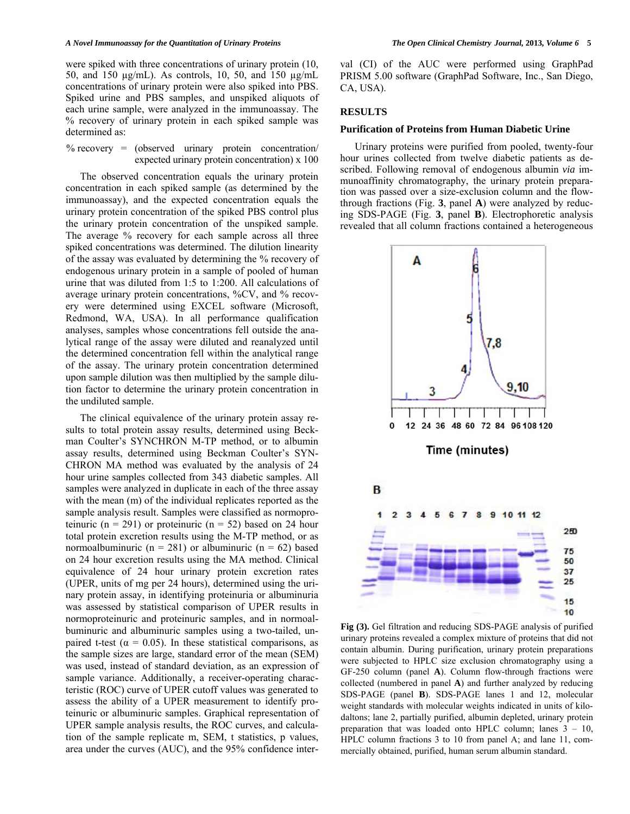#### *A Novel Immunoassay for the Quantitation of Urinary Proteins The Open Clinical Chemistry Journal,* **2013***, Volume 6* **5**

were spiked with three concentrations of urinary protein (10, 50, and 150 µg/mL). As controls, 10, 50, and 150 µg/mL concentrations of urinary protein were also spiked into PBS. Spiked urine and PBS samples, and unspiked aliquots of each urine sample, were analyzed in the immunoassay. The % recovery of urinary protein in each spiked sample was determined as:

## $%$  recovery = (observed urinary protein concentration) expected urinary protein concentration) x 100

 The observed concentration equals the urinary protein concentration in each spiked sample (as determined by the immunoassay), and the expected concentration equals the urinary protein concentration of the spiked PBS control plus the urinary protein concentration of the unspiked sample. The average % recovery for each sample across all three spiked concentrations was determined. The dilution linearity of the assay was evaluated by determining the % recovery of endogenous urinary protein in a sample of pooled of human urine that was diluted from 1:5 to 1:200. All calculations of average urinary protein concentrations, %CV, and % recovery were determined using EXCEL software (Microsoft, Redmond, WA, USA). In all performance qualification analyses, samples whose concentrations fell outside the analytical range of the assay were diluted and reanalyzed until the determined concentration fell within the analytical range of the assay. The urinary protein concentration determined upon sample dilution was then multiplied by the sample dilution factor to determine the urinary protein concentration in the undiluted sample.

 The clinical equivalence of the urinary protein assay results to total protein assay results, determined using Beckman Coulter's SYNCHRON M-TP method, or to albumin assay results, determined using Beckman Coulter's SYN-CHRON MA method was evaluated by the analysis of 24 hour urine samples collected from 343 diabetic samples. All samples were analyzed in duplicate in each of the three assay with the mean (m) of the individual replicates reported as the sample analysis result. Samples were classified as normoproteinuric ( $n = 291$ ) or proteinuric ( $n = 52$ ) based on 24 hour total protein excretion results using the M-TP method, or as normoalbuminuric ( $n = 281$ ) or albuminuric ( $n = 62$ ) based on 24 hour excretion results using the MA method. Clinical equivalence of 24 hour urinary protein excretion rates (UPER, units of mg per 24 hours), determined using the urinary protein assay, in identifying proteinuria or albuminuria was assessed by statistical comparison of UPER results in normoproteinuric and proteinuric samples, and in normoalbuminuric and albuminuric samples using a two-tailed, unpaired t-test ( $\alpha = 0.05$ ). In these statistical comparisons, as the sample sizes are large, standard error of the mean (SEM) was used, instead of standard deviation, as an expression of sample variance. Additionally, a receiver-operating characteristic (ROC) curve of UPER cutoff values was generated to assess the ability of a UPER measurement to identify proteinuric or albuminuric samples. Graphical representation of UPER sample analysis results, the ROC curves, and calculation of the sample replicate m, SEM, t statistics, p values, area under the curves (AUC), and the 95% confidence interval (CI) of the AUC were performed using GraphPad PRISM 5.00 software (GraphPad Software, Inc., San Diego, CA, USA).

## **RESULTS**

## **Purification of Proteins from Human Diabetic Urine**

 Urinary proteins were purified from pooled, twenty-four hour urines collected from twelve diabetic patients as described. Following removal of endogenous albumin *via* immunoaffinity chromatography, the urinary protein preparation was passed over a size-exclusion column and the flowthrough fractions (Fig. **3**, panel **A**) were analyzed by reducing SDS-PAGE (Fig. **3**, panel **B**). Electrophoretic analysis revealed that all column fractions contained a heterogeneous

![](_page_4_Figure_10.jpeg)

**Fig (3).** Gel filtration and reducing SDS-PAGE analysis of purified urinary proteins revealed a complex mixture of proteins that did not contain albumin. During purification, urinary protein preparations were subjected to HPLC size exclusion chromatography using a GF-250 column (panel **A**). Column flow-through fractions were collected (numbered in panel **A**) and further analyzed by reducing SDS-PAGE (panel **B**). SDS-PAGE lanes 1 and 12, molecular weight standards with molecular weights indicated in units of kilodaltons; lane 2, partially purified, albumin depleted, urinary protein preparation that was loaded onto HPLC column; lanes 3 – 10, HPLC column fractions 3 to 10 from panel A; and lane 11, commercially obtained, purified, human serum albumin standard.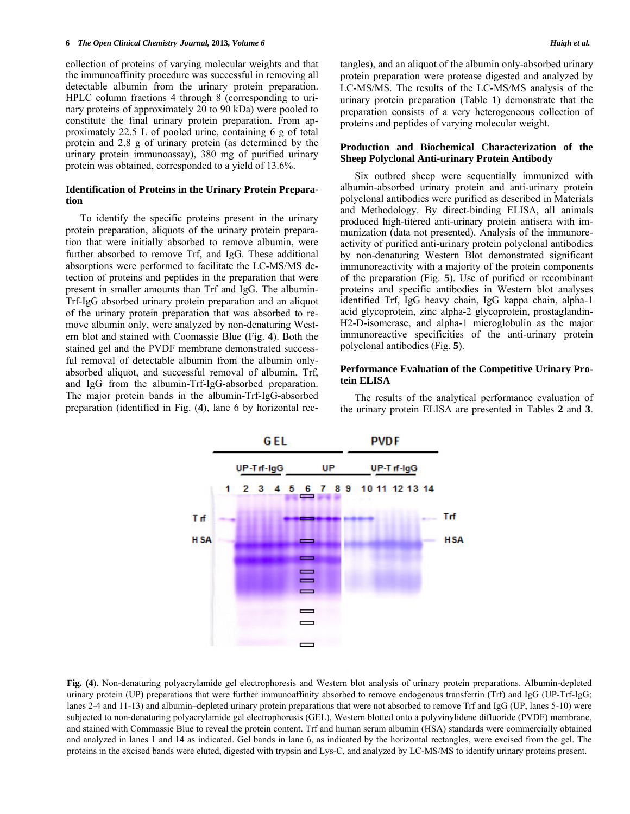collection of proteins of varying molecular weights and that the immunoaffinity procedure was successful in removing all detectable albumin from the urinary protein preparation. HPLC column fractions 4 through 8 (corresponding to urinary proteins of approximately 20 to 90 kDa) were pooled to constitute the final urinary protein preparation. From approximately 22.5 L of pooled urine, containing 6 g of total protein and 2.8 g of urinary protein (as determined by the urinary protein immunoassay), 380 mg of purified urinary protein was obtained, corresponded to a yield of 13.6%.

## **Identification of Proteins in the Urinary Protein Preparation**

 To identify the specific proteins present in the urinary protein preparation, aliquots of the urinary protein preparation that were initially absorbed to remove albumin, were further absorbed to remove Trf, and IgG. These additional absorptions were performed to facilitate the LC-MS/MS detection of proteins and peptides in the preparation that were present in smaller amounts than Trf and IgG. The albumin-Trf-IgG absorbed urinary protein preparation and an aliquot of the urinary protein preparation that was absorbed to remove albumin only, were analyzed by non-denaturing Western blot and stained with Coomassie Blue (Fig. **4**). Both the stained gel and the PVDF membrane demonstrated successful removal of detectable albumin from the albumin onlyabsorbed aliquot, and successful removal of albumin, Trf, and IgG from the albumin-Trf-IgG-absorbed preparation. The major protein bands in the albumin-Trf-IgG-absorbed preparation (identified in Fig. (**4**), lane 6 by horizontal rectangles), and an aliquot of the albumin only-absorbed urinary protein preparation were protease digested and analyzed by LC-MS/MS. The results of the LC-MS/MS analysis of the urinary protein preparation (Table **1**) demonstrate that the preparation consists of a very heterogeneous collection of proteins and peptides of varying molecular weight.

# **Production and Biochemical Characterization of the Sheep Polyclonal Anti-urinary Protein Antibody**

 Six outbred sheep were sequentially immunized with albumin-absorbed urinary protein and anti-urinary protein polyclonal antibodies were purified as described in Materials and Methodology. By direct-binding ELISA, all animals produced high-titered anti-urinary protein antisera with immunization (data not presented). Analysis of the immunoreactivity of purified anti-urinary protein polyclonal antibodies by non-denaturing Western Blot demonstrated significant immunoreactivity with a majority of the protein components of the preparation (Fig. **5**). Use of purified or recombinant proteins and specific antibodies in Western blot analyses identified Trf, IgG heavy chain, IgG kappa chain, alpha-1 acid glycoprotein, zinc alpha-2 glycoprotein, prostaglandin-H2-D-isomerase, and alpha-1 microglobulin as the major immunoreactive specificities of the anti-urinary protein polyclonal antibodies (Fig. **5**).

## **Performance Evaluation of the Competitive Urinary Protein ELISA**

 The results of the analytical performance evaluation of the urinary protein ELISA are presented in Tables **2** and **3**.

![](_page_5_Figure_10.jpeg)

**Fig. (4**). Non-denaturing polyacrylamide gel electrophoresis and Western blot analysis of urinary protein preparations. Albumin-depleted urinary protein (UP) preparations that were further immunoaffinity absorbed to remove endogenous transferrin (Trf) and IgG (UP-Trf-IgG; lanes 2-4 and 11-13) and albumin–depleted urinary protein preparations that were not absorbed to remove Trf and IgG (UP, lanes 5-10) were subjected to non-denaturing polyacrylamide gel electrophoresis (GEL), Western blotted onto a polyvinylidene difluoride (PVDF) membrane, and stained with Commassie Blue to reveal the protein content. Trf and human serum albumin (HSA) standards were commercially obtained and analyzed in lanes 1 and 14 as indicated. Gel bands in lane 6, as indicated by the horizontal rectangles, were excised from the gel. The proteins in the excised bands were eluted, digested with trypsin and Lys-C, and analyzed by LC-MS/MS to identify urinary proteins present.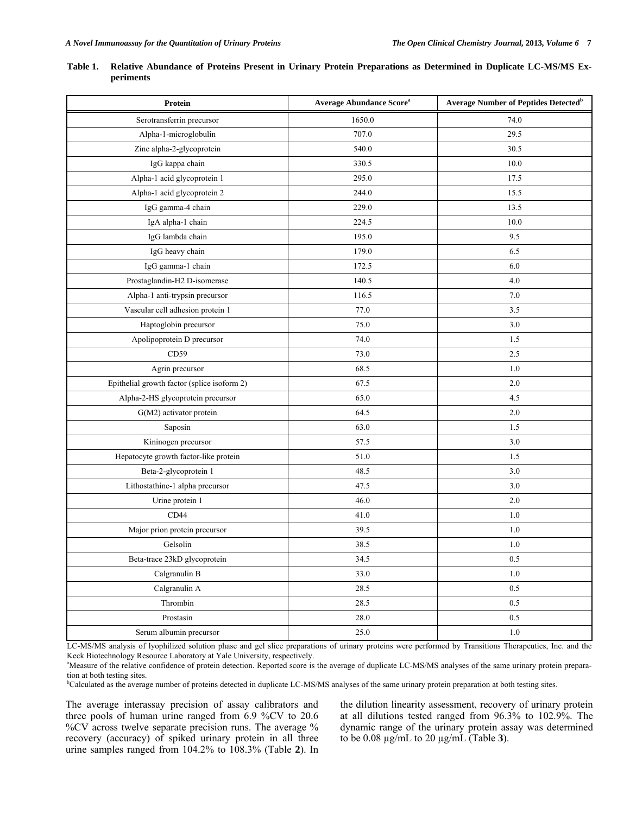| Protein                                     | <b>Average Abundance Score</b> <sup>a</sup> | Average Number of Peptides Detected <sup>b</sup> |
|---------------------------------------------|---------------------------------------------|--------------------------------------------------|
| Serotransferrin precursor                   | 1650.0                                      | 74.0                                             |
| Alpha-1-microglobulin                       | 707.0                                       | 29.5                                             |
| Zinc alpha-2-glycoprotein                   | 540.0                                       | 30.5                                             |
| IgG kappa chain                             | 330.5                                       | 10.0                                             |
| Alpha-1 acid glycoprotein 1                 | 295.0                                       | 17.5                                             |
| Alpha-1 acid glycoprotein 2                 | 244.0                                       | 15.5                                             |
| IgG gamma-4 chain                           | 229.0                                       | 13.5                                             |
| IgA alpha-1 chain                           | 224.5                                       | 10.0                                             |
| IgG lambda chain                            | 195.0                                       | 9.5                                              |
| IgG heavy chain                             | 179.0                                       | 6.5                                              |
| IgG gamma-1 chain                           | 172.5                                       | 6.0                                              |
| Prostaglandin-H2 D-isomerase                | 140.5                                       | 4.0                                              |
| Alpha-1 anti-trypsin precursor              | 116.5                                       | 7.0                                              |
| Vascular cell adhesion protein 1            | 77.0                                        | 3.5                                              |
| Haptoglobin precursor                       | 75.0                                        | 3.0                                              |
| Apolipoprotein D precursor                  | 74.0                                        | 1.5                                              |
| CD59                                        | 73.0                                        | 2.5                                              |
| Agrin precursor                             | 68.5                                        | $1.0\,$                                          |
| Epithelial growth factor (splice isoform 2) | 67.5                                        | 2.0                                              |
| Alpha-2-HS glycoprotein precursor           | 65.0                                        | 4.5                                              |
| G(M2) activator protein                     | 64.5                                        | 2.0                                              |
| Saposin                                     | 63.0                                        | 1.5                                              |
| Kininogen precursor                         | 57.5                                        | 3.0                                              |
| Hepatocyte growth factor-like protein       | 51.0                                        | 1.5                                              |
| Beta-2-glycoprotein 1                       | 48.5                                        | 3.0                                              |
| Lithostathine-1 alpha precursor             | 47.5                                        | 3.0                                              |
| Urine protein 1                             | 46.0                                        | 2.0                                              |
| CD44                                        | 41.0                                        | 1.0                                              |
| Major prion protein precursor               | 39.5                                        | 1.0                                              |
| Gelsolin                                    | 38.5                                        | 1.0                                              |
| Beta-trace 23kD glycoprotein                | 34.5                                        | $0.5\,$                                          |
| Calgranulin B                               | 33.0                                        | $1.0\,$                                          |
| Calgranulin A                               | 28.5                                        | 0.5                                              |
| Thrombin                                    | 28.5                                        | $0.5\,$                                          |
| Prostasin                                   | 28.0                                        | 0.5                                              |
| Serum albumin precursor                     | 25.0                                        | $1.0\,$                                          |

| Table 1. Relative Abundance of Proteins Present in Urinary Protein Preparations as Determined in Duplicate LC-MS/MS Ex- |  |  |  |  |
|-------------------------------------------------------------------------------------------------------------------------|--|--|--|--|
| periments                                                                                                               |  |  |  |  |

LC-MS/MS analysis of lyophilized solution phase and gel slice preparations of urinary proteins were performed by Transitions Therapeutics, Inc. and the Keck Biotechnology Resource Laboratory at Yale University, respectively.

<sup>a</sup>Measure of the relative confidence of protein detection. Reported score is the average of duplicate LC-MS/MS analyses of the same urinary protein preparation at both testing sites.

<sup>b</sup>Calculated as the average number of proteins detected in duplicate LC-MS/MS analyses of the same urinary protein preparation at both testing sites.

The average interassay precision of assay calibrators and three pools of human urine ranged from 6.9 %CV to 20.6 %CV across twelve separate precision runs. The average % recovery (accuracy) of spiked urinary protein in all three urine samples ranged from 104.2% to 108.3% (Table **2**). In

the dilution linearity assessment, recovery of urinary protein at all dilutions tested ranged from 96.3% to 102.9%. The dynamic range of the urinary protein assay was determined to be 0.08 µg/mL to 20 µg/mL (Table **3**).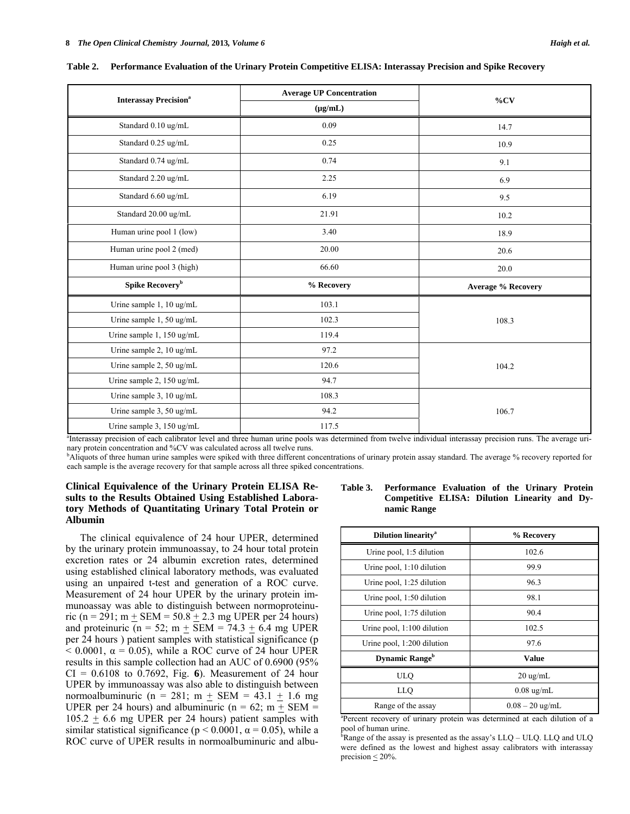|                                          | <b>Average UP Concentration</b> |                           |  |  |
|------------------------------------------|---------------------------------|---------------------------|--|--|
| <b>Interassay Precision</b> <sup>a</sup> | $(\mu g/mL)$                    | %CV                       |  |  |
| Standard 0.10 ug/mL                      | 0.09                            | 14.7                      |  |  |
| Standard 0.25 ug/mL                      | 0.25                            | 10.9                      |  |  |
| Standard 0.74 ug/mL                      | 0.74                            | 9.1                       |  |  |
| Standard 2.20 ug/mL                      | 2.25                            | 6.9                       |  |  |
| Standard 6.60 ug/mL                      | 6.19                            | 9.5                       |  |  |
| Standard 20.00 ug/mL                     | 21.91                           | 10.2                      |  |  |
| Human urine pool 1 (low)                 | 3.40                            | 18.9                      |  |  |
| Human urine pool 2 (med)                 | 20.00                           | 20.6                      |  |  |
| Human urine pool 3 (high)                | 66.60                           | 20.0                      |  |  |
| Spike Recovery <sup>b</sup>              | % Recovery                      | <b>Average % Recovery</b> |  |  |
| Urine sample 1, 10 ug/mL                 | 103.1                           |                           |  |  |
| Urine sample 1, 50 ug/mL                 | 102.3                           | 108.3                     |  |  |
| Urine sample 1, 150 ug/mL                | 119.4                           |                           |  |  |
| Urine sample 2, 10 ug/mL                 | 97.2                            |                           |  |  |
| Urine sample 2, 50 ug/mL                 | 120.6                           | 104.2                     |  |  |
| Urine sample 2, 150 ug/mL                | 94.7                            |                           |  |  |
| Urine sample 3, 10 ug/mL                 | 108.3                           |                           |  |  |
| Urine sample 3, 50 ug/mL                 | 94.2                            | 106.7                     |  |  |
| Urine sample 3, 150 ug/mL                | 117.5                           |                           |  |  |

**Table 2. Performance Evaluation of the Urinary Protein Competitive ELISA: Interassay Precision and Spike Recovery** 

<sup>a</sup>Interassay precision of each calibrator level and three human urine pools was determined from twelve individual interassay precision runs. The average urinary protein concentration and %CV was calculated across all twelve runs.

<sup>b</sup>Aliquots of three human urine samples were spiked with three different concentrations of urinary protein assay standard. The average % recovery reported for each sample is the average recovery for that sample across all three spiked concentrations.

# **Clinical Equivalence of the Urinary Protein ELISA Results to the Results Obtained Using Established Laboratory Methods of Quantitating Urinary Total Protein or Albumin**

 The clinical equivalence of 24 hour UPER, determined by the urinary protein immunoassay, to 24 hour total protein excretion rates or 24 albumin excretion rates, determined using established clinical laboratory methods, was evaluated using an unpaired t-test and generation of a ROC curve. Measurement of 24 hour UPER by the urinary protein immunoassay was able to distinguish between normoproteinuric (n = 291; m  $+$  SEM = 50.8  $+$  2.3 mg UPER per 24 hours) and proteinuric (n = 52; m  $+$  SEM = 74.3  $+$  6.4 mg UPER per 24 hours ) patient samples with statistical significance (p  $< 0.0001$ ,  $\alpha = 0.05$ ), while a ROC curve of 24 hour UPER results in this sample collection had an AUC of 0.6900 (95% CI = 0.6108 to 0.7692, Fig. **6**). Measurement of 24 hour UPER by immunoassay was also able to distinguish between normoalbuminuric (n = 281; m  $+$  SEM = 43.1  $+$  1.6 mg UPER per 24 hours) and albuminuric ( $n = 62$ ;  $m + SEM =$  $105.2 + 6.6$  mg UPER per 24 hours) patient samples with similar statistical significance ( $p < 0.0001$ ,  $\alpha = 0.05$ ), while a ROC curve of UPER results in normoalbuminuric and albu-

## **Table 3. Performance Evaluation of the Urinary Protein Competitive ELISA: Dilution Linearity and Dynamic Range**

| <b>Dilution linearity<sup>a</sup></b> | % Recovery           |
|---------------------------------------|----------------------|
| Urine pool, 1:5 dilution              | 102.6                |
| Urine pool, $1:10$ dilution           | 99.9                 |
| Urine pool, 1:25 dilution             | 96.3                 |
| Urine pool, 1:50 dilution             | 98.1                 |
| Urine pool, 1:75 dilution             | 90.4                 |
| Urine pool, $1:100$ dilution          | 102.5                |
| Urine pool, 1:200 dilution            | 97.6                 |
| <b>Dynamic Range</b> <sup>b</sup>     | Value                |
| ULQ                                   | $20 \text{ ug/mL}$   |
| LLO                                   | $0.08 \text{ ug/mL}$ |
| Range of the assay                    | $0.08 - 20$ ug/mL    |

a Percent recovery of urinary protein was determined at each dilution of a pool of human urine.

 ${}^{\bar{b}}$ Range of the assay is presented as the assay's LLQ – ULQ. LLQ and ULQ were defined as the lowest and highest assay calibrators with interassay precision  $\leq$  20%.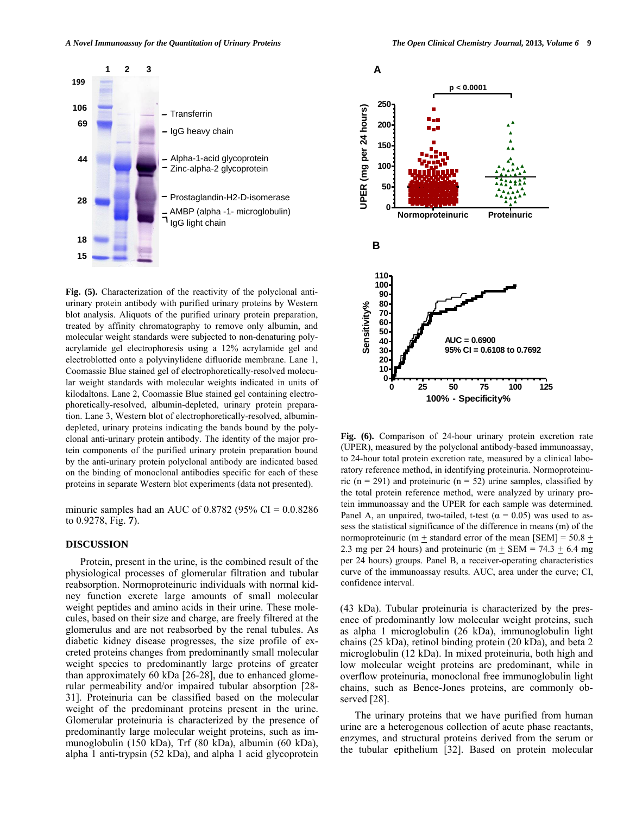![](_page_8_Figure_1.jpeg)

**Fig. (5).** Characterization of the reactivity of the polyclonal antiurinary protein antibody with purified urinary proteins by Western blot analysis. Aliquots of the purified urinary protein preparation, treated by affinity chromatography to remove only albumin, and molecular weight standards were subjected to non-denaturing polyacrylamide gel electrophoresis using a 12% acrylamide gel and electroblotted onto a polyvinylidene difluoride membrane. Lane 1, Coomassie Blue stained gel of electrophoretically-resolved molecular weight standards with molecular weights indicated in units of kilodaltons. Lane 2, Coomassie Blue stained gel containing electrophoretically-resolved, albumin-depleted, urinary protein preparation. Lane 3, Western blot of electrophoretically-resolved, albumindepleted, urinary proteins indicating the bands bound by the polyclonal anti-urinary protein antibody. The identity of the major protein components of the purified urinary protein preparation bound by the anti-urinary protein polyclonal antibody are indicated based on the binding of monoclonal antibodies specific for each of these proteins in separate Western blot experiments (data not presented).

minuric samples had an AUC of  $0.8782$  (95% CI =  $0.0.8286$ ) to 0.9278, Fig. **7**).

## **DISCUSSION**

 Protein, present in the urine, is the combined result of the physiological processes of glomerular filtration and tubular reabsorption. Normoproteinuric individuals with normal kidney function excrete large amounts of small molecular weight peptides and amino acids in their urine. These molecules, based on their size and charge, are freely filtered at the glomerulus and are not reabsorbed by the renal tubules. As diabetic kidney disease progresses, the size profile of excreted proteins changes from predominantly small molecular weight species to predominantly large proteins of greater than approximately 60 kDa [26-28], due to enhanced glomerular permeability and/or impaired tubular absorption [28- 31]. Proteinuria can be classified based on the molecular weight of the predominant proteins present in the urine. Glomerular proteinuria is characterized by the presence of predominantly large molecular weight proteins, such as immunoglobulin (150 kDa), Trf (80 kDa), albumin (60 kDa), alpha 1 anti-trypsin (52 kDa), and alpha 1 acid glycoprotein

![](_page_8_Figure_7.jpeg)

**Fig. (6).** Comparison of 24-hour urinary protein excretion rate (UPER), measured by the polyclonal antibody-based immunoassay, to 24-hour total protein excretion rate, measured by a clinical laboratory reference method, in identifying proteinuria. Normoproteinuric ( $n = 291$ ) and proteinuric ( $n = 52$ ) urine samples, classified by the total protein reference method, were analyzed by urinary protein immunoassay and the UPER for each sample was determined. Panel A, an unpaired, two-tailed, t-test ( $\alpha$  = 0.05) was used to assess the statistical significance of the difference in means (m) of the normoproteinuric (m  $\pm$  standard error of the mean [SEM] = 50.8  $\pm$ 2.3 mg per 24 hours) and proteinuric (m  $+$  SEM = 74.3  $+$  6.4 mg per 24 hours) groups. Panel B, a receiver-operating characteristics curve of the immunoassay results. AUC, area under the curve; CI, confidence interval.

(43 kDa). Tubular proteinuria is characterized by the presence of predominantly low molecular weight proteins, such as alpha 1 microglobulin (26 kDa), immunoglobulin light chains (25 kDa), retinol binding protein (20 kDa), and beta 2 microglobulin (12 kDa). In mixed proteinuria, both high and low molecular weight proteins are predominant, while in overflow proteinuria, monoclonal free immunoglobulin light chains, such as Bence-Jones proteins, are commonly observed [28].

 The urinary proteins that we have purified from human urine are a heterogenous collection of acute phase reactants, enzymes, and structural proteins derived from the serum or the tubular epithelium [32]. Based on protein molecular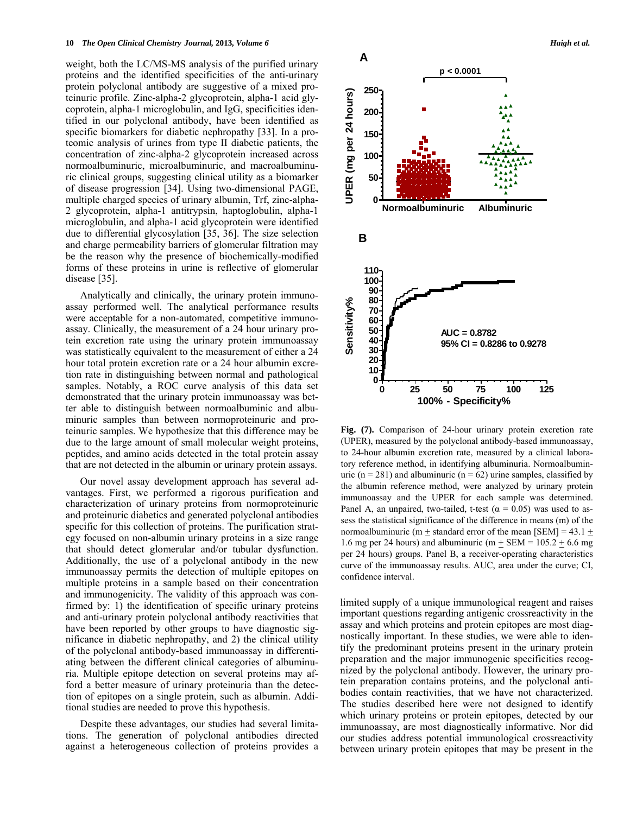weight, both the LC/MS-MS analysis of the purified urinary proteins and the identified specificities of the anti-urinary protein polyclonal antibody are suggestive of a mixed proteinuric profile. Zinc-alpha-2 glycoprotein, alpha-1 acid glycoprotein, alpha-1 microglobulin, and IgG, specificities identified in our polyclonal antibody, have been identified as specific biomarkers for diabetic nephropathy [33]. In a proteomic analysis of urines from type II diabetic patients, the concentration of zinc-alpha-2 glycoprotein increased across normoalbuminuric, microalbuminuric, and macroalbuminuric clinical groups, suggesting clinical utility as a biomarker of disease progression [34]. Using two-dimensional PAGE, multiple charged species of urinary albumin, Trf, zinc-alpha-2 glycoprotein, alpha-1 antitrypsin, haptoglobulin, alpha-1 microglobulin, and alpha-1 acid glycoprotein were identified due to differential glycosylation [35, 36]. The size selection and charge permeability barriers of glomerular filtration may be the reason why the presence of biochemically-modified forms of these proteins in urine is reflective of glomerular disease [35].

 Analytically and clinically, the urinary protein immunoassay performed well. The analytical performance results were acceptable for a non-automated, competitive immunoassay. Clinically, the measurement of a 24 hour urinary protein excretion rate using the urinary protein immunoassay was statistically equivalent to the measurement of either a 24 hour total protein excretion rate or a 24 hour albumin excretion rate in distinguishing between normal and pathological samples. Notably, a ROC curve analysis of this data set demonstrated that the urinary protein immunoassay was better able to distinguish between normoalbuminic and albuminuric samples than between normoproteinuric and proteinuric samples. We hypothesize that this difference may be due to the large amount of small molecular weight proteins, peptides, and amino acids detected in the total protein assay that are not detected in the albumin or urinary protein assays.

 Our novel assay development approach has several advantages. First, we performed a rigorous purification and characterization of urinary proteins from normoproteinuric and proteinuric diabetics and generated polyclonal antibodies specific for this collection of proteins. The purification strategy focused on non-albumin urinary proteins in a size range that should detect glomerular and/or tubular dysfunction. Additionally, the use of a polyclonal antibody in the new immunoassay permits the detection of multiple epitopes on multiple proteins in a sample based on their concentration and immunogenicity. The validity of this approach was confirmed by: 1) the identification of specific urinary proteins and anti-urinary protein polyclonal antibody reactivities that have been reported by other groups to have diagnostic significance in diabetic nephropathy, and 2) the clinical utility of the polyclonal antibody-based immunoassay in differentiating between the different clinical categories of albuminuria. Multiple epitope detection on several proteins may afford a better measure of urinary proteinuria than the detection of epitopes on a single protein, such as albumin. Additional studies are needed to prove this hypothesis.

 Despite these advantages, our studies had several limitations. The generation of polyclonal antibodies directed against a heterogeneous collection of proteins provides a

![](_page_9_Figure_6.jpeg)

**Fig. (7).** Comparison of 24-hour urinary protein excretion rate (UPER), measured by the polyclonal antibody-based immunoassay, to 24-hour albumin excretion rate, measured by a clinical laboratory reference method, in identifying albuminuria. Normoalbuminuric ( $n = 281$ ) and albuminuric ( $n = 62$ ) urine samples, classified by the albumin reference method, were analyzed by urinary protein immunoassay and the UPER for each sample was determined. Panel A, an unpaired, two-tailed, t-test ( $\alpha$  = 0.05) was used to assess the statistical significance of the difference in means (m) of the normoalbuminuric (m  $\pm$  standard error of the mean [SEM] = 43.1  $\pm$ 1.6 mg per 24 hours) and albuminuric (m  $\pm$  SEM = 105.2  $\pm$  6.6 mg per 24 hours) groups. Panel B, a receiver-operating characteristics curve of the immunoassay results. AUC, area under the curve; CI, confidence interval.

limited supply of a unique immunological reagent and raises important questions regarding antigenic crossreactivity in the assay and which proteins and protein epitopes are most diagnostically important. In these studies, we were able to identify the predominant proteins present in the urinary protein preparation and the major immunogenic specificities recognized by the polyclonal antibody. However, the urinary protein preparation contains proteins, and the polyclonal antibodies contain reactivities, that we have not characterized. The studies described here were not designed to identify which urinary proteins or protein epitopes, detected by our immunoassay, are most diagnostically informative. Nor did our studies address potential immunological crossreactivity between urinary protein epitopes that may be present in the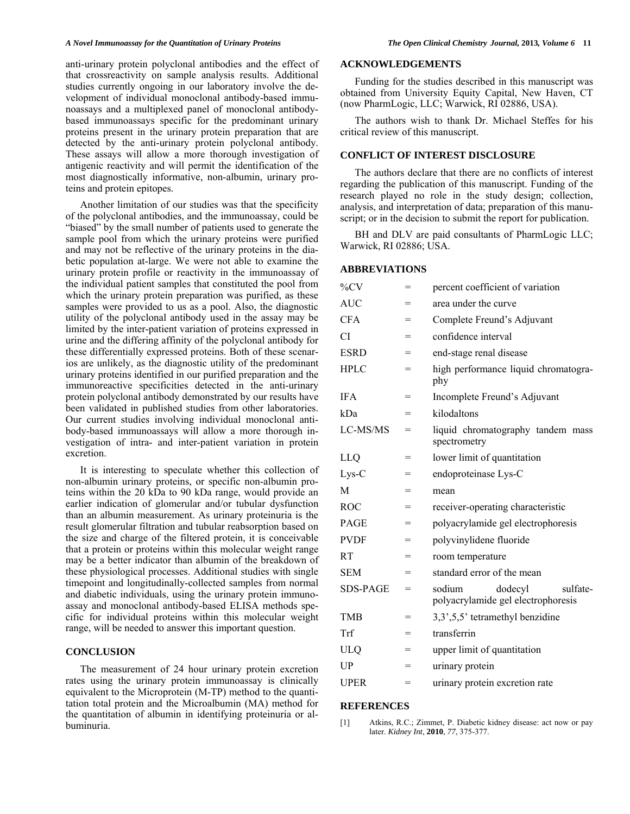anti-urinary protein polyclonal antibodies and the effect of that crossreactivity on sample analysis results. Additional studies currently ongoing in our laboratory involve the development of individual monoclonal antibody-based immunoassays and a multiplexed panel of monoclonal antibodybased immunoassays specific for the predominant urinary proteins present in the urinary protein preparation that are detected by the anti-urinary protein polyclonal antibody. These assays will allow a more thorough investigation of antigenic reactivity and will permit the identification of the most diagnostically informative, non-albumin, urinary proteins and protein epitopes.

 Another limitation of our studies was that the specificity of the polyclonal antibodies, and the immunoassay, could be "biased" by the small number of patients used to generate the sample pool from which the urinary proteins were purified and may not be reflective of the urinary proteins in the diabetic population at-large. We were not able to examine the urinary protein profile or reactivity in the immunoassay of the individual patient samples that constituted the pool from which the urinary protein preparation was purified, as these samples were provided to us as a pool. Also, the diagnostic utility of the polyclonal antibody used in the assay may be limited by the inter-patient variation of proteins expressed in urine and the differing affinity of the polyclonal antibody for these differentially expressed proteins. Both of these scenarios are unlikely, as the diagnostic utility of the predominant urinary proteins identified in our purified preparation and the immunoreactive specificities detected in the anti-urinary protein polyclonal antibody demonstrated by our results have been validated in published studies from other laboratories. Our current studies involving individual monoclonal antibody-based immunoassays will allow a more thorough investigation of intra- and inter-patient variation in protein excretion.

 It is interesting to speculate whether this collection of non-albumin urinary proteins, or specific non-albumin proteins within the 20 kDa to 90 kDa range, would provide an earlier indication of glomerular and/or tubular dysfunction than an albumin measurement. As urinary proteinuria is the result glomerular filtration and tubular reabsorption based on the size and charge of the filtered protein, it is conceivable that a protein or proteins within this molecular weight range may be a better indicator than albumin of the breakdown of these physiological processes. Additional studies with single timepoint and longitudinally-collected samples from normal and diabetic individuals, using the urinary protein immunoassay and monoclonal antibody-based ELISA methods specific for individual proteins within this molecular weight range, will be needed to answer this important question.

# **CONCLUSION**

 The measurement of 24 hour urinary protein excretion rates using the urinary protein immunoassay is clinically equivalent to the Microprotein (M-TP) method to the quantitation total protein and the Microalbumin (MA) method for the quantitation of albumin in identifying proteinuria or albuminuria.

### **ACKNOWLEDGEMENTS**

 Funding for the studies described in this manuscript was obtained from University Equity Capital, New Haven, CT (now PharmLogic, LLC; Warwick, RI 02886, USA).

 The authors wish to thank Dr. Michael Steffes for his critical review of this manuscript.

# **CONFLICT OF INTEREST DISCLOSURE**

 The authors declare that there are no conflicts of interest regarding the publication of this manuscript. Funding of the research played no role in the study design; collection, analysis, and interpretation of data; preparation of this manuscript; or in the decision to submit the report for publication.

 BH and DLV are paid consultants of PharmLogic LLC; Warwick, RI 02886; USA.

#### **ABBREVIATIONS**

| $\%CV$          | $=$ | percent coefficient of variation                                    |
|-----------------|-----|---------------------------------------------------------------------|
| <b>AUC</b>      | $=$ | area under the curve                                                |
| <b>CFA</b>      | =   | Complete Freund's Adjuvant                                          |
| CI              | $=$ | confidence interval                                                 |
| <b>ESRD</b>     | $=$ | end-stage renal disease                                             |
| <b>HPLC</b>     | $=$ | high performance liquid chromatogra-<br>phy                         |
| <b>IFA</b>      | $=$ | Incomplete Freund's Adjuvant                                        |
| kDa             | $=$ | kilodaltons                                                         |
| LC-MS/MS        | $=$ | liquid chromatography tandem mass<br>spectrometry                   |
| LLQ             | $=$ | lower limit of quantitation                                         |
| Lys-C           | $=$ | endoproteinase Lys-C                                                |
| M               | $=$ | mean                                                                |
| <b>ROC</b>      | $=$ | receiver-operating characteristic                                   |
| <b>PAGE</b>     | $=$ | polyacrylamide gel electrophoresis                                  |
| <b>PVDF</b>     | =   | polyvinylidene fluoride                                             |
| RT              | $=$ | room temperature                                                    |
| <b>SEM</b>      | $=$ | standard error of the mean                                          |
| <b>SDS-PAGE</b> | $=$ | sulfate-<br>sodium<br>dodecyl<br>polyacrylamide gel electrophoresis |
| <b>TMB</b>      | $=$ | 3,3',5,5' tetramethyl benzidine                                     |
| Trf             | $=$ | transferrin                                                         |
| ULQ             | =   | upper limit of quantitation                                         |
| UP              | $=$ | urinary protein                                                     |
| <b>UPER</b>     | $=$ | urinary protein excretion rate                                      |

## **REFERENCES**

[1] Atkins, R.C.; Zimmet, P. Diabetic kidney disease: act now or pay later. *Kidney Int*, **2010**, *77*, 375-377.